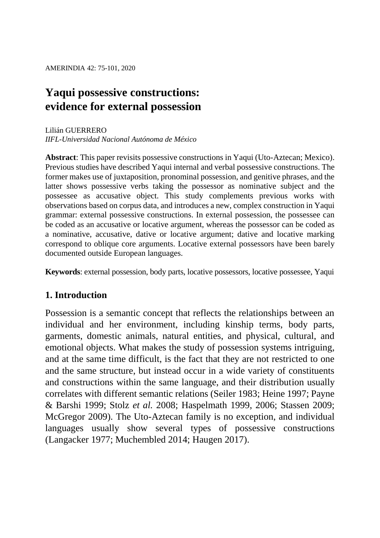# **Yaqui possessive constructions: evidence for external possession**

#### Lilián GUERRERO *IIFL-Universidad Nacional Autónoma de México*

**Abstract**: This paper revisits possessive constructions in Yaqui (Uto-Aztecan; Mexico). Previous studies have described Yaqui internal and verbal possessive constructions. The former makes use of juxtaposition, pronominal possession, and genitive phrases, and the latter shows possessive verbs taking the possessor as nominative subject and the possessee as accusative object. This study complements previous works with observations based on corpus data, and introduces a new, complex construction in Yaqui grammar: external possessive constructions. In external possession, the possessee can be coded as an accusative or locative argument, whereas the possessor can be coded as a nominative, accusative, dative or locative argument; dative and locative marking correspond to oblique core arguments. Locative external possessors have been barely documented outside European languages.

**Keywords**: external possession, body parts, locative possessors, locative possessee, Yaqui

# **1. Introduction**

Possession is a semantic concept that reflects the relationships between an individual and her environment, including kinship terms, body parts, garments, domestic animals, natural entities, and physical, cultural, and emotional objects. What makes the study of possession systems intriguing, and at the same time difficult, is the fact that they are not restricted to one and the same structure, but instead occur in a wide variety of constituents and constructions within the same language, and their distribution usually correlates with different semantic relations (Seiler 1983; Heine 1997; Payne & Barshi 1999; Stolz *et al.* 2008; Haspelmath 1999, 2006; Stassen 2009; McGregor 2009). The Uto-Aztecan family is no exception, and individual languages usually show several types of possessive constructions (Langacker 1977; Muchembled 2014; Haugen 2017).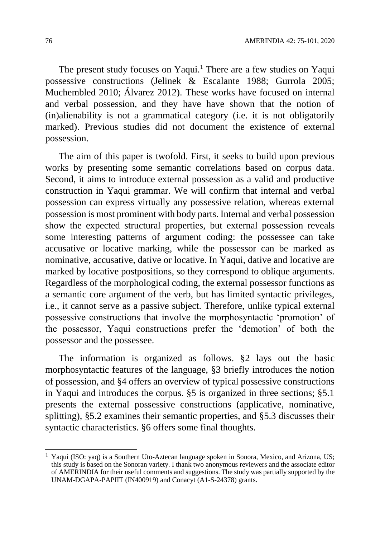The present study focuses on Yaqui.<sup>1</sup> There are a few studies on Yaqui possessive constructions (Jelinek & Escalante 1988; Gurrola 2005; Muchembled 2010; Álvarez 2012). These works have focused on internal and verbal possession, and they have have shown that the notion of (in)alienability is not a grammatical category (i.e. it is not obligatorily marked). Previous studies did not document the existence of external possession.

The aim of this paper is twofold. First, it seeks to build upon previous works by presenting some semantic correlations based on corpus data. Second, it aims to introduce external possession as a valid and productive construction in Yaqui grammar. We will confirm that internal and verbal possession can express virtually any possessive relation, whereas external possession is most prominent with body parts. Internal and verbal possession show the expected structural properties, but external possession reveals some interesting patterns of argument coding: the possessee can take accusative or locative marking, while the possessor can be marked as nominative, accusative, dative or locative. In Yaqui, dative and locative are marked by locative postpositions, so they correspond to oblique arguments. Regardless of the morphological coding, the external possessor functions as a semantic core argument of the verb, but has limited syntactic privileges, i.e., it cannot serve as a passive subject. Therefore, unlike typical external possessive constructions that involve the morphosyntactic 'promotion' of the possessor, Yaqui constructions prefer the 'demotion' of both the possessor and the possessee.

The information is organized as follows. §2 lays out the basic morphosyntactic features of the language, §3 briefly introduces the notion of possession, and §4 offers an overview of typical possessive constructions in Yaqui and introduces the corpus. §5 is organized in three sections; §5.1 presents the external possessive constructions (applicative, nominative, splitting), §5.2 examines their semantic properties, and §5.3 discusses their syntactic characteristics. §6 offers some final thoughts.

 $\overline{a}$ 

<sup>&</sup>lt;sup>1</sup> Yaqui (ISO: yaq) is a Southern Uto-Aztecan language spoken in Sonora, Mexico, and Arizona, US; this study is based on the Sonoran variety. I thank two anonymous reviewers and the associate editor of AMERINDIA for their useful comments and suggestions. The study was partially supported by the UNAM-DGAPA-PAPIIT (IN400919) and Conacyt (A1-S-24378) grants.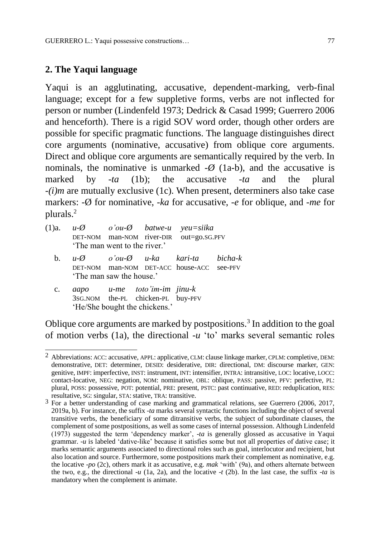# **2. The Yaqui language**

Yaqui is an agglutinating, accusative, dependent-marking, verb-final language; except for a few suppletive forms, verbs are not inflected for person or number (Lindenfeld 1973; Dedrick & Casad 1999; Guerrero 2006 and henceforth). There is a rigid SOV word order, though other orders are possible for specific pragmatic functions. The language distinguishes direct core arguments (nominative, accusative) from oblique core arguments. Direct and oblique core arguments are semantically required by the verb. In nominals, the nominative is unmarked  $-\varnothing$  (1a-b), and the accusative is marked by -*ta* (1b); the accusative *-ta* and the plural *-(i)m* are mutually exclusive (1c). When present, determiners also take case markers: -Ø for nominative, -*ka* for accusative, -*e* for oblique, and -*me* for plurals.<sup>2</sup>

- (1)a. *u-Ø o'ou-Ø batwe-u yeu=siika* DET-NOM man-NOM river-DIR out=go.SG.PFV 'The man went to the river.'
	- b. *u-Ø o'ou-Ø u-ka kari-ta bicha-k* DET-NOM man-NOM DET-ACC house-ACC see-PFV 'The man saw the house.'
	- c. *aapo u-me toto'im-im jinu-k* 3SG.NOM the-PL chicken-PL buy-PFV 'He/She bought the chickens.'

Oblique core arguments are marked by postpositions.<sup>3</sup> In addition to the goal of motion verbs (1a), the directional *-u* 'to' marks several semantic roles

 $\overline{a}$ <sup>2</sup> Abbreviations: ACC: accusative, APPL: applicative, CLM: clause linkage marker, CPLM: completive, DEM: demonstrative, DET: determiner, DESID: desiderative, DIR: directional, DM: discourse marker, GEN: genitive, IMPF: imperfective, INST: instrument, INT: intensifier, INTRA: intransitive, LOC: locative, LOCC: contact-locative, NEG: negation, NOM: nominative, OBL: oblique, PASS: passive, PFV: perfective, PL: plural, POSS: possessive, POT: potential, PRE: present, PSTC: past continuative, RED: reduplication, RES: resultative, SG: singular, STA: stative, TRA: transitive.

<sup>&</sup>lt;sup>3</sup> For a better understanding of case marking and grammatical relations, see Guerrero (2006, 2017, 2019a, b). For instance, the suffix *-ta* marks several syntactic functions including the object of several transitive verbs, the beneficiary of some ditransitive verbs, the subject of subordinate clauses, the complement of some postpositions, as well as some cases of internal possession. Although Lindenfeld (1973) suggested the term 'dependency marker', -*ta* is generally glossed as accusative in Yaqui grammar. -*u* is labeled 'dative-like' because it satisfies some but not all properties of dative case; it marks semantic arguments associated to directional roles such as goal, interlocutor and recipient, but also location and source. Furthermore, some postpositions mark their complement as nominative, e.g. the locative -*po* (2c), others mark it as accusative, e.g. *mak* 'with' (9a), and others alternate between the two, e.g., the directional  $-u$  (1a, 2a), and the locative  $-t$  (2b). In the last case, the suffix  $-ta$  is mandatory when the complement is animate.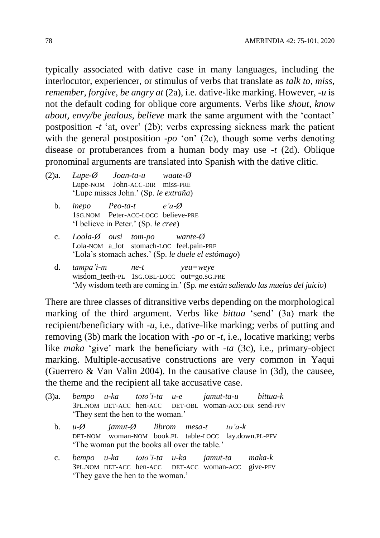typically associated with dative case in many languages, including the interlocutor, experiencer, or stimulus of verbs that translate as *talk to, miss, remember, forgive, be angry at (2a), i.e. dative-like marking. However, -u is* not the default coding for oblique core arguments. Verbs like *shout, know about, envy/be jealous, believe* mark the same argument with the 'contact' postposition -*t* 'at, over' (2b); verbs expressing sickness mark the patient with the general postposition -*po* 'on' (2c), though some verbs denoting disease or protuberances from a human body may use *-t* (2d). Oblique pronominal arguments are translated into Spanish with the dative clitic.

- (2)a. *Lupe-Ø Joan-ta-u waate-Ø* Lupe-NOM John-ACC-DIR miss-PRE 'Lupe misses John.' (Sp. *le extraña*)
	- b. *inepo Peo-ta-t e'a-Ø* 1SG.NOM Peter-ACC-LOCC believe-PRE 'I believe in Peter.' (Sp. *le cree*)
	- c. *Loola-Ø ousi tom-po wante-Ø* Lola-NOM a lot stomach-LOC feel.pain-PRE 'Lola's stomach aches.' (Sp. *le duele el estómago*)
	- d. *tampa'i-m ne-t yeu=weye* wisdom\_teeth-PL 1SG.OBL-LOCC out=go.SG.PRE 'My wisdom teeth are coming in.' (Sp. *me están saliendo las muelas del juicio*)

There are three classes of ditransitive verbs depending on the morphological marking of the third argument. Verbs like *bittua* 'send' (3a) mark the recipient/beneficiary with -*u*, i.e., dative-like marking; verbs of putting and removing (3b) mark the location with -*po* or -*t*, i.e., locative marking; verbs like *maka* 'give' mark the beneficiary with *-ta* (3c), i.e., primary-object marking. Multiple-accusative constructions are very common in Yaqui (Guerrero & Van Valin 2004). In the causative clause in (3d), the causee, the theme and the recipient all take accusative case.

- (3)a. *bempo u-ka toto'i-ta u-e jamut-ta-u bittua-k* 3PL.NOM DET-ACC hen-ACC DET-OBL woman-ACC-DIR send-PFV 'They sent the hen to the woman.'
	- b. *u-Ø jamut-Ø librom mesa-t to'a-k* DET-NOM woman-NOM book.PL table-LOCC lay.down.PL-PFV 'The woman put the books all over the table.'
	- c. *bempo u-ka toto'i-ta u-ka jamut-ta maka-k* 3PL.NOM DET-ACC hen-ACC DET-ACC woman-ACC give-PFV 'They gave the hen to the woman.'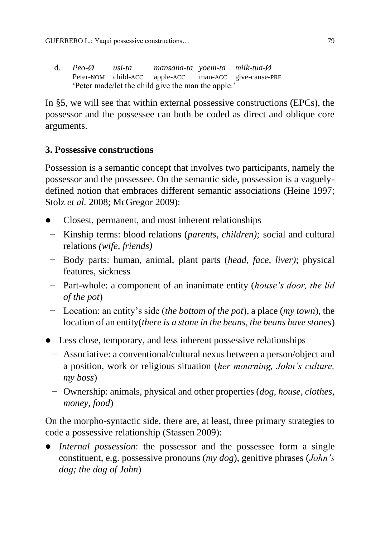d. *Peo-Ø usi-ta mansana-ta yoem-ta miik-tua-Ø* Peter-NOM child-ACC apple-ACC man-ACC give-cause-PRE 'Peter made/let the child give the man the apple.'

In §5, we will see that within external possessive constructions (EPCs), the possessor and the possessee can both be coded as direct and oblique core arguments.

# **3. Possessive constructions**

Possession is a semantic concept that involves two participants, namely the possessor and the possessee. On the semantic side, possession is a vaguelydefined notion that embraces different semantic associations (Heine 1997; Stolz *et al.* 2008; McGregor 2009):

- Closest, permanent, and most inherent relationships
- − Kinship terms: blood relations (*parents, children);* social and cultural relations *(wife, friends)*
- − Body parts: human, animal, plant parts (*head, face, liver)*; physical features, sickness
- − Part-whole: a component of an inanimate entity (*house's door, the lid of the pot*)
- − Location: an entity's side (*the bottom of the pot*), a place (*my town*), the location of an entity(*there is a stone in the beans, the beans have stones*)
- Less close, temporary, and less inherent possessive relationships
	- − Associative: a conventional/cultural nexus between a person/object and a position, work or religious situation (*her mourning, John's culture, my boss*)
	- − Ownership: animals, physical and other properties (*dog, house, clothes, money, food*)

On the morpho-syntactic side, there are, at least, three primary strategies to code a possessive relationship (Stassen 2009):

 *Internal possession*: the possessor and the possessee form a single constituent, e.g. possessive pronouns (*my dog*), genitive phrases (*John's dog; the dog of John*)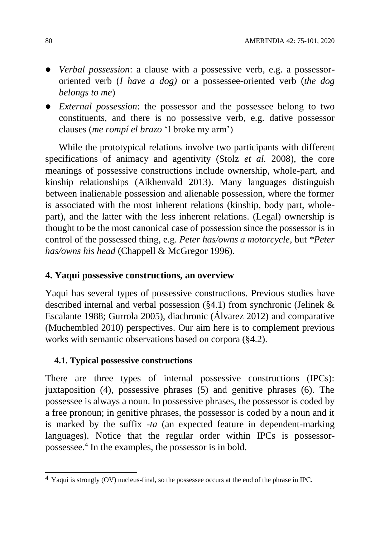- *Verbal possession*: a clause with a possessive verb, e.g. a possessororiented verb (*I have a dog)* or a possessee-oriented verb (*the dog belongs to me*)
- *External possession*: the possessor and the possessee belong to two constituents, and there is no possessive verb, e.g. dative possessor clauses (*me rompí el brazo* 'I broke my arm')

While the prototypical relations involve two participants with different specifications of animacy and agentivity (Stolz *et al.* 2008), the core meanings of possessive constructions include ownership, whole-part, and kinship relationships (Aikhenvald 2013). Many languages distinguish between inalienable possession and alienable possession, where the former is associated with the most inherent relations (kinship, body part, wholepart), and the latter with the less inherent relations. (Legal) ownership is thought to be the most canonical case of possession since the possessor is in control of the possessed thing, e.g. *Peter has/owns a motorcycle,* but *\*Peter has/owns his head* (Chappell & McGregor 1996).

# **4. Yaqui possessive constructions, an overview**

Yaqui has several types of possessive constructions. Previous studies have described internal and verbal possession (§4.1) from synchronic (Jelinek & Escalante 1988; Gurrola 2005), diachronic (Álvarez 2012) and comparative (Muchembled 2010) perspectives. Our aim here is to complement previous works with semantic observations based on corpora (§4.2).

### **4.1. Typical possessive constructions**

There are three types of internal possessive constructions (IPCs): juxtaposition (4), possessive phrases (5) and genitive phrases (6). The possessee is always a noun. In possessive phrases, the possessor is coded by a free pronoun; in genitive phrases, the possessor is coded by a noun and it is marked by the suffix -*ta* (an expected feature in dependent-marking languages). Notice that the regular order within IPCs is possessorpossessee.<sup>4</sup> In the examples, the possessor is in bold.

 $\overline{a}$  $4$  Yaqui is strongly (OV) nucleus-final, so the possessee occurs at the end of the phrase in IPC.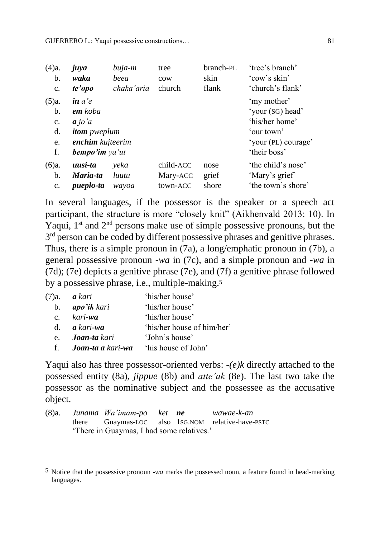| (4)a.          | juya                                     | buja-m     | tree            | branch-PL | 'tree's branch'     |
|----------------|------------------------------------------|------------|-----------------|-----------|---------------------|
| b.             | waka                                     | beea       | $_{\text{cow}}$ | skin      | 'cow's skin'        |
| $\mathbf{c}$ . | te'opo                                   | chaka'aria | church          | flank     | 'church's flank'    |
| (5)a.          | $\mathbf{i} n$ $\mathbf{a}$ $\mathbf{e}$ |            |                 |           | 'my mother'         |
| b.             | <b>em</b> koba                           |            |                 |           | 'your (SG) head'    |
| c.             | $a$ jo'a                                 |            |                 |           | 'his/her home'      |
| d.             | <i>itom pweplum</i>                      |            |                 |           | 'our town'          |
| e.             | enchim kujteerim                         |            |                 |           | 'your (PL) courage' |
| f.             | <b>bempo'im</b> ya'ut                    |            |                 |           | 'their boss'        |
| (6)a.          | uusi-ta                                  | yeka       | child-ACC       | nose      | 'the child's nose'  |
| b.             | Maria-ta                                 | luutu      | Mary-ACC        | grief     | 'Mary's grief'      |
| $\mathbf{c}$ . | pueplo-ta                                | wayoa      | town-ACC        | shore     | 'the town's shore'  |

In several languages, if the possessor is the speaker or a speech act participant, the structure is more "closely knit" (Aikhenvald 2013: 10). In Yaqui,  $1<sup>st</sup>$  and  $2<sup>nd</sup>$  persons make use of simple possessive pronouns, but the 3<sup>rd</sup> person can be coded by different possessive phrases and genitive phrases. Thus, there is a simple pronoun in (7a), a long/emphatic pronoun in (7b), a general possessive pronoun -*wa* in (7c), and a simple pronoun and -*wa* in (7d); (7e) depicts a genitive phrase (7e), and (7f) a genitive phrase followed by a possessive phrase, i.e., multiple-making.<sup>5</sup>

|                | (7)a. <b><i>a kari</i></b>                      | 'his/her house'            |
|----------------|-------------------------------------------------|----------------------------|
| $\mathbf{b}$ . | <b>apo'ik</b> kari                              | 'his/her house'            |
|                | c. $kari$ <b>wa</b>                             | 'his/her house'            |
|                | d. $\boldsymbol{a}$ kari-wa                     | 'his/her house of him/her' |
|                | e. <b>Joan-ta</b> kari                          | 'John's house'             |
|                | f. <b>Joan-ta a</b> kari-wa 'his house of John' |                            |

Yaqui also has three possessor-oriented verbs: *-(e)k* directly attached to the possessed entity (8a), *jippue* (8b) and *atte'ak* (8e). The last two take the possessor as the nominative subject and the possessee as the accusative object.

|  | (8)a. Junama Wa'imam-po ket <b>ne</b>     |  | wawae-k-an                                        |
|--|-------------------------------------------|--|---------------------------------------------------|
|  |                                           |  | there Guaymas-LOC also 1sG.NOM relative-have-PSTC |
|  | 'There in Guaymas, I had some relatives.' |  |                                                   |

 $\overline{a}$ 5 Notice that the possessive pronoun -*wa* marks the possessed noun, a feature found in head-marking languages.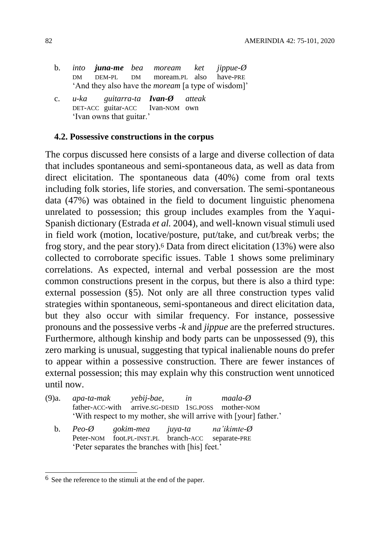- b. *into juna-me bea moream ket jippue-Ø* DM DEM-PL DM moream.PL also have-PRE 'And they also have the *moream* [a type of wisdom]'
- c. *u-ka guitarra-ta Ivan-Ø atteak* DET-ACC guitar-ACC Ivan-NOM own 'Ivan owns that guitar.'

#### **4.2. Possessive constructions in the corpus**

The corpus discussed here consists of a large and diverse collection of data that includes spontaneous and semi-spontaneous data, as well as data from direct elicitation. The spontaneous data (40%) come from oral texts including folk stories, life stories, and conversation. The semi-spontaneous data (47%) was obtained in the field to document linguistic phenomena unrelated to possession; this group includes examples from the Yaqui-Spanish dictionary (Estrada *et al.* 2004), and well-known visual stimuli used in field work (motion, locative/posture, put/take, and cut/break verbs; the frog story, and the pear story).<sup>6</sup> Data from direct elicitation (13%) were also collected to corroborate specific issues. Table 1 shows some preliminary correlations. As expected, internal and verbal possession are the most common constructions present in the corpus, but there is also a third type: external possession (§5). Not only are all three construction types valid strategies within spontaneous, semi-spontaneous and direct elicitation data, but they also occur with similar frequency. For instance, possessive pronouns and the possessive verbs -*k* and *jippue* are the preferred structures. Furthermore, although kinship and body parts can be unpossessed (9), this zero marking is unusual, suggesting that typical inalienable nouns do prefer to appear within a possessive construction. There are fewer instances of external possession; this may explain why this construction went unnoticed until now.

- (9)a. *apa-ta-mak yebij-bae, in maala-Ø* father-ACC-with arrive.SG-DESID 1SG.POSS mother-NOM 'With respect to my mother, she will arrive with [your] father.'
	- b. *Peo-Ø gokim-mea juya-ta na'ikimte-Ø* Peter-NOM foot.PL-INST.PL branch-ACC separate-PRE 'Peter separates the branches with [his] feet.'

 $\overline{a}$ <sup>6</sup> See the reference to the stimuli at the end of the paper.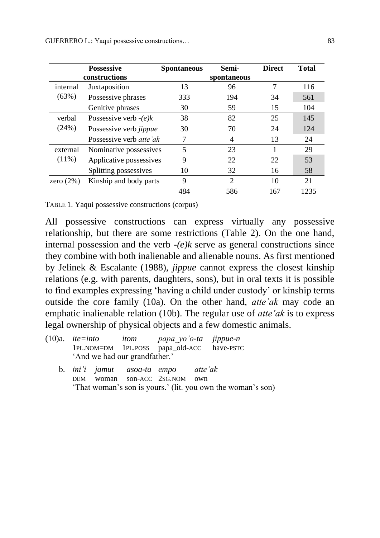|              | <b>Possessive</b><br>constructions | <b>Spontaneous</b>       | Semi-<br>spontaneous | <b>Direct</b> | <b>Total</b> |
|--------------|------------------------------------|--------------------------|----------------------|---------------|--------------|
| internal     | Juxtaposition                      | 13                       | 96                   | 7             | 116          |
| (63%)        | Possessive phrases                 | 333                      | 194                  | 34            | 561          |
|              | Genitive phrases                   | 30                       | 59                   | 15            | 104          |
| verbal       | Possessive verb $-e/k$             | 38                       | 82                   | 25            | 145          |
| (24%)        | Possessive verb jippue             | 30                       | 70                   | 24            | 124          |
|              | Possessive verb <i>atte'ak</i>     |                          | 4                    | 13            | 24           |
| external     | Nominative possessives             | $\overline{\mathcal{L}}$ | 23                   |               | 29           |
| $(11\%)$     | Applicative possessives            | 9                        | 22                   | 22            | 53           |
|              | Splitting possessives              | 10                       | 32                   | 16            | 58           |
| zero $(2\%)$ | Kinship and body parts             | 9                        | $\overline{2}$       | 10            | 21           |
|              |                                    | 484                      | 586                  | 167           | 1235         |

TABLE 1. Yaqui possessive constructions (corpus)

All possessive constructions can express virtually any possessive relationship, but there are some restrictions (Table 2). On the one hand, internal possession and the verb *-(e)k* serve as general constructions since they combine with both inalienable and alienable nouns. As first mentioned by Jelinek & Escalante (1988), *jippue* cannot express the closest kinship relations (e.g. with parents, daughters, sons), but in oral texts it is possible to find examples expressing 'having a child under custody' or kinship terms outside the core family (10a). On the other hand, *atte'ak* may code an emphatic inalienable relation (10b). The regular use of *atte'ak* is to express legal ownership of physical objects and a few domestic animals.

| $(10)a$ . <i>ite=into itom papa yo'o-ta jippue-n</i> |  |                               |                                            |                                                             |
|------------------------------------------------------|--|-------------------------------|--------------------------------------------|-------------------------------------------------------------|
|                                                      |  |                               |                                            | 1PL.NOM=DM 1PL.POSS papa_old-ACC have-PSTC                  |
|                                                      |  | 'And we had our grandfather.' |                                            |                                                             |
|                                                      |  |                               | b. <i>ini'i jamut</i> asoa-ta empo atte'ak |                                                             |
|                                                      |  |                               | DEM woman son-ACC 2sG.NOM own              |                                                             |
|                                                      |  |                               |                                            | 'That woman's son is yours.' (lit. you own the woman's son) |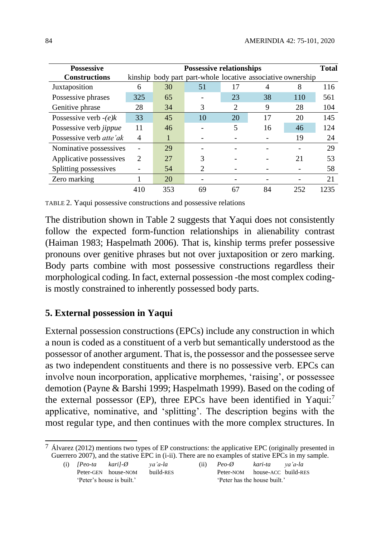| <b>Possessive</b>              | <b>Possessive relationships</b><br><b>Total</b> |     |    |                |                                                             |     |      |  |
|--------------------------------|-------------------------------------------------|-----|----|----------------|-------------------------------------------------------------|-----|------|--|
| <b>Constructions</b>           |                                                 |     |    |                | kinship body part part-whole locative associative ownership |     |      |  |
| Juxtaposition                  | 6                                               | 30  | 51 | 17             |                                                             | 8   | 116  |  |
| Possessive phrases             | 325                                             | 65  |    | 23             | 38                                                          | 110 | 561  |  |
| Genitive phrase                | 28                                              | 34  | 3  | $\overline{2}$ | 9                                                           | 28  | 104  |  |
| Possessive verb $-(e)k$        | 33                                              | 45  | 10 | 20             | 17                                                          | 20  | 145  |  |
| Possessive verb <i>jippue</i>  | 11                                              | 46  |    | 5              | 16                                                          | 46  | 124  |  |
| Possessive verb <i>atte'ak</i> | 4                                               |     |    |                |                                                             | 19  | 24   |  |
| Nominative possessives         |                                                 | 29  |    |                |                                                             |     | 29   |  |
| Applicative possessives        | $\mathcal{D}_{\cdot}$                           | 27  |    |                |                                                             | 21  | 53   |  |
| Splitting possessives          |                                                 | 54  |    |                |                                                             |     | 58   |  |
| Zero marking                   |                                                 | 20  |    |                |                                                             |     | 21   |  |
|                                | 410                                             | 353 | 69 | 67             | 84                                                          | 252 | 1235 |  |

TABLE 2. Yaqui possessive constructions and possessive relations

The distribution shown in Table 2 suggests that Yaqui does not consistently follow the expected form-function relationships in alienability contrast (Haiman 1983; Haspelmath 2006). That is, kinship terms prefer possessive pronouns over genitive phrases but not over juxtaposition or zero marking. Body parts combine with most possessive constructions regardless their morphological coding. In fact, external possession -the most complex codingis mostly constrained to inherently possessed body parts.

# **5. External possession in Yaqui**

External possession constructions (EPCs) include any construction in which a noun is coded as a constituent of a verb but semantically understood as the possessor of another argument. That is, the possessor and the possessee serve as two independent constituents and there is no possessive verb. EPCs can involve noun incorporation, applicative morphemes, 'raising', or possessee demotion (Payne & Barshi 1999; Haspelmath 1999). Based on the coding of the external possessor (EP), three EPCs have been identified in Yaqui:<sup>7</sup> applicative, nominative, and 'splitting'. The description begins with the most regular type, and then continues with the more complex structures. In

<sup>7</sup> Álvarez (2012) mentions two types of EP constructions: the applicative EPC (originally presented in Guerrero 2007), and the stative EPC in (i-ii). There are no examples of stative EPCs in my sample.

| (i) $[Pe^{-t}a \quad kari]$ - $\emptyset$ |                           | va'a-la   | (ii) | $Peo-Q$                     | kari-ta va'a-la              |  |
|-------------------------------------------|---------------------------|-----------|------|-----------------------------|------------------------------|--|
|                                           | Peter-GEN house-NOM       | build-RES |      | Peter-NOM house-ACC build-R |                              |  |
|                                           | 'Peter's house is built.' |           |      |                             | 'Peter has the house built.' |  |

 $\overline{a}$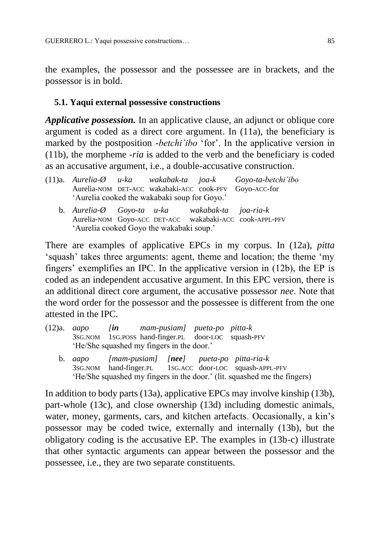the examples, the possessor and the possessee are in brackets, and the possessor is in bold.

### **5.1. Yaqui external possessive constructions**

*Applicative possession.* In an applicative clause, an adjunct or oblique core argument is coded as a direct core argument. In (11a), the beneficiary is marked by the postposition -*betchi'ibo* 'for'. In the applicative version in (11b), the morpheme -*ria* is added to the verb and the beneficiary is coded as an accusative argument, i.e., a double-accusative construction.

|                                                           |  | $(11)a$ . Aurelia- $\emptyset$ u-ka wakabak-ta joa-k Goyo-ta-betchi'ibo |
|-----------------------------------------------------------|--|-------------------------------------------------------------------------|
|                                                           |  | Aurelia-NOM DET-ACC wakabaki-ACC cook-PFV Goyo-ACC-for                  |
| 'Aurelia cooked the wakabaki soup for Goyo.'              |  |                                                                         |
| b. Aurelia- $\emptyset$ Goyo-ta u-ka wakabak-ta joa-ria-k |  |                                                                         |
|                                                           |  | Aurelia-NOM Goyo-ACC DET-ACC wakabaki-ACC cook-APPL-PFV                 |
| 'Aurelia cooked Goyo the wakabaki soup.'                  |  |                                                                         |

There are examples of applicative EPCs in my corpus. In (12a), *pitta* 'squash' takes three arguments: agent, theme and location; the theme 'my fingers' exemplifies an IPC. In the applicative version in (12b), the EP is coded as an independent accusative argument. In this EPC version, there is an additional direct core argument, the accusative possessor *nee*. Note that the word order for the possessor and the possessee is different from the one attested in the IPC.

| $(12)a$ . <i>aapo</i> | $\int$ in | mam-pusiam] pueta-po pitta-k                        |  |
|-----------------------|-----------|-----------------------------------------------------|--|
|                       |           | 3SG.NOM 1SG.POSS hand-finger.PL door-LOC squash-PFV |  |
|                       |           | 'He/She squashed my fingers in the door.'           |  |

b. *aapo [mam-pusiam] [nee] pueta-po pitta-ria-k* 3SG.NOM hand-finger.PL 1SG.ACC door-LOC squash-APPL-PFV 'He/She squashed my fingers in the door.' (lit. squashed me the fingers)

In addition to body parts (13a), applicative EPCs may involve kinship (13b), part-whole (13c), and close ownership (13d) including domestic animals, water, money, garments, cars, and kitchen artefacts. Occasionally, a kin's possessor may be coded twice, externally and internally (13b), but the obligatory coding is the accusative EP. The examples in (13b-c) illustrate that other syntactic arguments can appear between the possessor and the possessee, i.e., they are two separate constituents.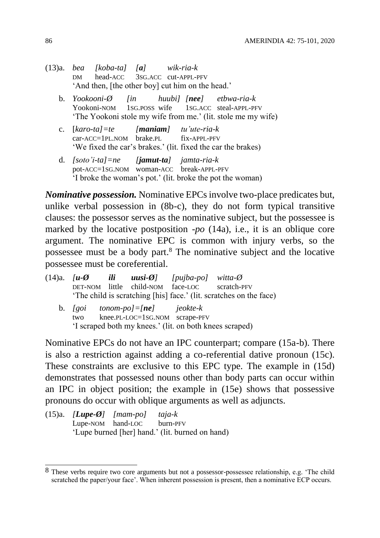- (13)a. *bea [koba-ta] [a] wik-ria-k* DM head-ACC 3SG.ACC cut-APPL-PFV 'And then, [the other boy] cut him on the head.'
	- b. *Yookooni-Ø [in huubi] [nee] etbwa-ria-k* Yookoni-NOM 1SG.POSS wife 1SG.ACC steal-APPL-PFV 'The Yookoni stole my wife from me.' (lit. stole me my wife)
	- c. [*karo-ta]=te [maniam] tu'ute-ria-k* car-ACC=1PL.NOM brake.PL fix-APPL-PFV 'We fixed the car's brakes.' (lit. fixed the car the brakes)
	- d. *[soto'i-ta]=ne [jamut-ta] jamta-ria-k* pot-ACC=1SG.NOM woman-ACC break-APPL-PFV 'I broke the woman's pot.' (lit. broke the pot the woman)

*Nominative possession.* Nominative EPCs involve two-place predicates but, unlike verbal possession in (8b-c), they do not form typical transitive clauses: the possessor serves as the nominative subject, but the possessee is marked by the locative postposition -*po* (14a), i.e., it is an oblique core argument. The nominative EPC is common with injury verbs, so the possessee must be a body part.<sup>8</sup> The nominative subject and the locative possessee must be coreferential.

|     |                                       | $(14)a$ . [ <b>u-Ø</b> ili <b>uusi-Ø</b> ] [pujba-po] witta-Ø |                                                                    |
|-----|---------------------------------------|---------------------------------------------------------------|--------------------------------------------------------------------|
|     |                                       | DET-NOM little child-NOM face-LOC scratch-PFV                 |                                                                    |
|     |                                       |                                                               | 'The child is scratching [his] face.' (lit. scratches on the face) |
|     | b. $[goi \ttonom-po] = [ne]$ ieokte-k |                                                               |                                                                    |
| two |                                       | knee.PL-LOC=1sG.NOM scrape-PFV                                |                                                                    |
|     |                                       | 'I scraped both my knees.' (lit. on both knees scraped)       |                                                                    |

Nominative EPCs do not have an IPC counterpart; compare (15a-b). There is also a restriction against adding a co-referential dative pronoun (15c). These constraints are exclusive to this EPC type. The example in (15d) demonstrates that possessed nouns other than body parts can occur within an IPC in object position; the example in (15e) shows that possessive pronouns do occur with oblique arguments as well as adjuncts.

(15)a. *[Lupe-Ø] [mam-po] taja-k* Lupe-NOM hand-LOC burn-PFV 'Lupe burned [her] hand.' (lit. burned on hand)

 $\overline{\phantom{a}}$  $8$  These verbs require two core arguments but not a possessor-possessee relationship, e.g. 'The child scratched the paper/your face'. When inherent possession is present, then a nominative ECP occurs.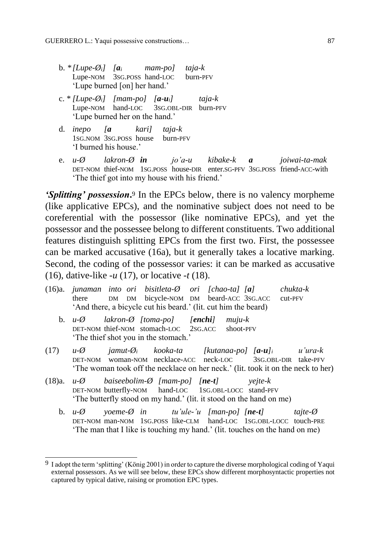- b.  $*[Lupe-\emptyset_i]$   $[a_i$  *mam-pol taja-k* Lupe-NOM 3SG.POSS hand-LOC burn-PFV 'Lupe burned [on] her hand.'
- c. \* *[Lupe-Øi] [mam-po] [a-ui] taja-k* Lupe-NOM hand-LOC 3SG.OBL-DIR burn-PFV 'Lupe burned her on the hand.'
- d. *inepo [a kari] taja-k* 1SG.NOM 3SG.POSS house burn-PFV 'I burned his house.'
- e. *u-Ø lakron-Ø in jo'a-u kibake-k a joiwai-ta-mak* DET-NOM thief-NOM 1SG.POSS house-DIR enter.SG-PFV 3SG.POSS friend-ACC-with 'The thief got into my house with his friend.'

**'Splitting' possession.**<sup>9</sup> In the EPCs below, there is no valency morpheme (like applicative EPCs), and the nominative subject does not need to be coreferential with the possessor (like nominative EPCs), and yet the possessor and the possessee belong to different constituents. Two additional features distinguish splitting EPCs from the first two. First, the possessee can be marked accusative (16a), but it generally takes a locative marking. Second, the coding of the possessor varies: it can be marked as accusative (16), dative-like -*u* (17), or locative *-t* (18).

|  |  | (16)a. junaman into ori bisitleta- $\emptyset$ ori [chao-ta] [a] |  | chukta-k |
|--|--|------------------------------------------------------------------|--|----------|
|  |  | there DM DM bicycle-NOM DM beard-ACC 3SG.ACC cut-PFV             |  |          |
|  |  | 'And there, a bicycle cut his beard.' (lit. cut him the beard)   |  |          |

- b. *u-Ø lakron-Ø [toma-po] [enchi] muju-k* DET-NOM thief-NOM stomach-LOC 2SG.ACC shoot-PFV 'The thief shot you in the stomach.'
- (17) *u-Ø jamut-Ø<sup>i</sup> kooka-ta [kutanaa-po] [a-u]<sup>i</sup> u'ura-k* DET-NOM woman-NOM necklace-ACC neck-LOC 3SG.OBL-DIR take-PFV 'The woman took off the necklace on her neck.' (lit. took it on the neck to her)
- (18)a. *u-Ø baiseebolim-Ø [mam-po] [ne-t] yejte-k* DET-NOM butterfly-NOM hand-LOC 1SG.OBL-LOCC stand-PFV 'The butterfly stood on my hand.' (lit. it stood on the hand on me)

 $\overline{a}$ 

b. *u-Ø yoeme-Ø in tu'ule-'u [man-po] [ne-t] tajte-Ø* DET-NOM man-NOM 1SG.POSS like-CLM hand-LOC 1SG.OBL-LOCC touch-PRE 'The man that I like is touching my hand.' (lit. touches on the hand on me)

 $9$  I adopt the term 'splitting' (König 2001) in order to capture the diverse morphological coding of Yaqui external possessors. As we will see below, these EPCs show different morphosyntactic properties not captured by typical dative, raising or promotion EPC types.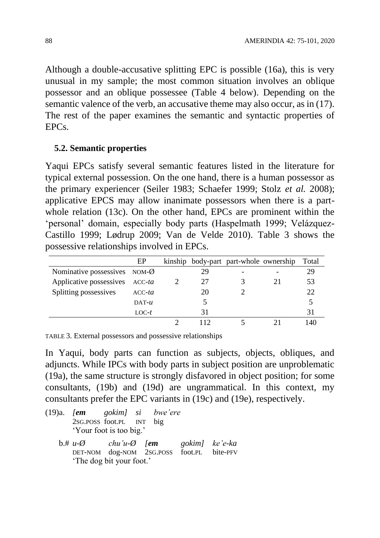Although a double-accusative splitting EPC is possible (16a), this is very unusual in my sample; the most common situation involves an oblique possessor and an oblique possessee (Table 4 below). Depending on the semantic valence of the verb, an accusative theme may also occur, as in (17). The rest of the paper examines the semantic and syntactic properties of EPCs.

#### **5.2. Semantic properties**

Yaqui EPCs satisfy several semantic features listed in the literature for typical external possession. On the one hand, there is a human possessor as the primary experiencer (Seiler 1983; Schaefer 1999; Stolz *et al.* 2008); applicative EPCS may allow inanimate possessors when there is a partwhole relation (13c). On the other hand, EPCs are prominent within the 'personal' domain, especially body parts (Haspelmath 1999; Velázquez-Castillo 1999; Lødrup 2009; Van de Velde 2010). Table 3 shows the possessive relationships involved in EPCs.

|                                | EP        |    | kinship body-part part-whole ownership |    | Total |
|--------------------------------|-----------|----|----------------------------------------|----|-------|
| Nominative possessives $NOM-Ø$ |           | 29 |                                        |    | 29    |
| Applicative possessives ACC-ta |           | 27 |                                        | 21 | 53    |
| Splitting possessives          | $ACC$ -ta | 20 |                                        |    | 22    |
|                                | $DATA-T$  |    |                                        |    |       |
|                                | $LOC-t$   | 31 |                                        |    |       |
|                                |           |    |                                        |    |       |

TABLE 3. External possessors and possessive relationships

In Yaqui, body parts can function as subjects, objects, obliques, and adjuncts. While IPCs with body parts in subject position are unproblematic (19a), the same structure is strongly disfavored in object position; for some consultants, (19b) and (19d) are ungrammatical. In this context, my consultants prefer the EPC variants in (19c) and (19e), respectively.

|  | (19)a. <i>[em</i> gokim] si bwe'ere                        |  |  |
|--|------------------------------------------------------------|--|--|
|  | 2sG.POSS foot.PL INT big                                   |  |  |
|  | 'Your foot is too big.'                                    |  |  |
|  | $b. # u - \emptyset$ chu'u- $\emptyset$ [em gokim] ke'e-ka |  |  |
|  | DET-NOM dog-NOM 2SG.POSS foot.PL bite-PFV                  |  |  |
|  | 'The dog bit your foot.'                                   |  |  |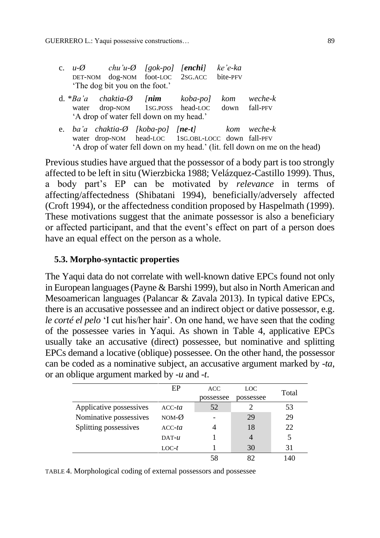|  | 'The dog bit you on the foot.' | c. $u-\emptyset$ chu'u- $\emptyset$ [gok-po] [enchi] ke'e-ka<br>DET-NOM dog-NOM foot-LOC 2SG.ACC bite-PFV                                                                                     |  |  |
|--|--------------------------------|-----------------------------------------------------------------------------------------------------------------------------------------------------------------------------------------------|--|--|
|  |                                | $d. * Ba'a$ chaktia- $\emptyset$ [nim koba-po] kom weche-k<br>water drop-NOM 1SG.POSS head-LOC down fall-PFV<br>'A drop of water fell down on my head.'                                       |  |  |
|  |                                | e. ba'a chaktia- $\emptyset$ [koba-po] [ne-t] kom weche-k<br>water drop-NOM head-LOC 1SG.OBL-LOCC down fall-PFV<br>'A drop of water fell down on my head.' (lit. fell down on me on the head) |  |  |

Previous studies have argued that the possessor of a body part is too strongly affected to be left in situ (Wierzbicka 1988; Velázquez-Castillo 1999). Thus, a body part's EP can be motivated by *relevance* in terms of affecting/affectedness (Shibatani 1994), beneficially/adversely affected (Croft 1994), or the affectedness condition proposed by Haspelmath (1999). These motivations suggest that the animate possessor is also a beneficiary or affected participant, and that the event's effect on part of a person does have an equal effect on the person as a whole.

### **5.3. Morpho-syntactic properties**

The Yaqui data do not correlate with well-known dative EPCs found not only in European languages(Payne & Barshi 1999), but also in North American and Mesoamerican languages (Palancar & Zavala 2013). In typical dative EPCs, there is an accusative possessee and an indirect object or dative possessor, e.g. *le corté el pelo* 'I cut his/her hair'. On one hand, we have seen that the coding of the possessee varies in Yaqui. As shown in Table 4, applicative EPCs usually take an accusative (direct) possessee, but nominative and splitting EPCs demand a locative (oblique) possessee. On the other hand, the possessor can be coded as a nominative subject, an accusative argument marked by -*ta*, or an oblique argument marked by -*u* and -*t*.

|                         | EP              | <b>ACC</b> | LOC       | Total |
|-------------------------|-----------------|------------|-----------|-------|
|                         |                 | possessee  | possessee |       |
| Applicative possessives | $ACC$ -ta       | 52         |           | 53    |
| Nominative possessives  | $NOM-\emptyset$ |            | 29        | 29    |
| Splitting possessives   | $ACC$ -ta       |            | 18        | 22    |
|                         | $DATA-T$        |            |           |       |
|                         | $LOC-t$         |            | 30        | 31    |
|                         |                 |            |           |       |

TABLE 4. Morphological coding of external possessors and possessee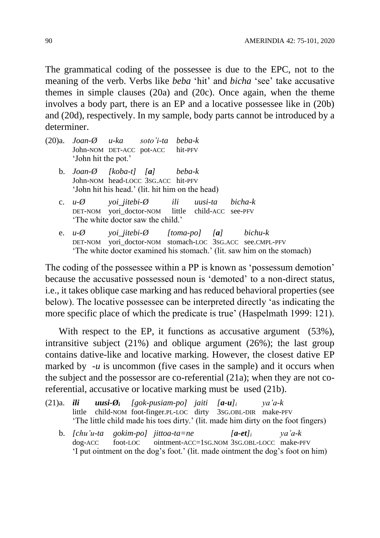The grammatical coding of the possessee is due to the EPC, not to the meaning of the verb. Verbs like *beba* 'hit' and *bicha* 'see' take accusative themes in simple clauses (20a) and (20c). Once again, when the theme involves a body part, there is an EP and a locative possessee like in (20b) and (20d), respectively. In my sample, body parts cannot be introduced by a determiner.

| (20)a. <i>Joan-Ø u-ka</i>        | soto'i-ta beba-k |  |
|----------------------------------|------------------|--|
| John-NOM DET-ACC pot-ACC hit-PFV |                  |  |
| 'John hit the pot.'              |                  |  |

- b. *Joan-Ø [koba-t] [a] beba-k* John-NOM head-LOCC 3SG.ACC hit-PFV 'John hit his head.' (lit. hit him on the head)
- c. *u-Ø yoi\_jitebi-Ø ili uusi-ta bicha-k* DET-NOM yori\_doctor-NOM little child-ACC see-PFV 'The white doctor saw the child.'
- e. *u-Ø yoi\_jitebi-Ø [toma-po] [a] bichu-k* DET-NOM vori\_doctor-NOM stomach-LOC 3SG.ACC see.CMPL-PFV 'The white doctor examined his stomach.' (lit. saw him on the stomach)

The coding of the possessee within a PP is known as 'possessum demotion' because the accusative possessed noun is 'demoted' to a non-direct status, i.e., it takes oblique case marking and has reduced behavioral properties (see below). The locative possessee can be interpreted directly 'as indicating the more specific place of which the predicate is true' (Haspelmath 1999: 121).

With respect to the EP, it functions as accusative argument (53%), intransitive subject (21%) and oblique argument (26%); the last group contains dative-like and locative marking. However, the closest dative EP marked by  $-u$  is uncommon (five cases in the sample) and it occurs when the subject and the possessor are co-referential (21a); when they are not coreferential, accusative or locative marking must be used (21b).

- (21)a. *ili uusi-Ø<sup>i</sup> [gok-pusiam-po] jaiti [a-u]<sup>i</sup> ya'a-k* little child-NOM foot-finger.PL-LOC dirty 3SG.OBL-DIR make-PFV 'The little child made his toes dirty.' (lit. made him dirty on the foot fingers)
	- b. *[chu'u-ta gokim-po] jittoa-ta=ne [a-et]<sup>i</sup> ya'a-k* dog-ACC foot-LOC ointment-ACC=1SG.NOM 3SG.OBL-LOCC make-PFV 'I put ointment on the dog's foot.' (lit. made ointment the dog's foot on him)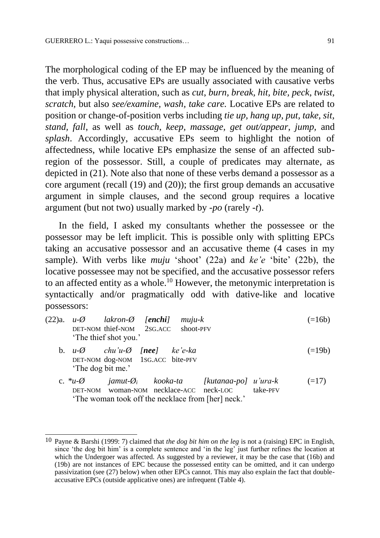The morphological coding of the EP may be influenced by the meaning of the verb. Thus, accusative EPs are usually associated with causative verbs that imply physical alteration, such as *cut*, *burn, break, hit, bite, peck*, *twist*, *scratch,* but also *see/examine, wash, take care.* Locative EPs are related to position or change-of-position verbs including *tie up, hang up, put, take, sit, stand, fall*, as well as *touch*, *keep, massage, get out/appear, jump,* and *splash*. Accordingly, accusative EPs seem to highlight the notion of affectedness, while locative EPs emphasize the sense of an affected subregion of the possessor. Still, a couple of predicates may alternate, as depicted in (21). Note also that none of these verbs demand a possessor as a core argument (recall (19) and (20)); the first group demands an accusative argument in simple clauses, and the second group requires a locative argument (but not two) usually marked by -*po* (rarely *-t*).

In the field, I asked my consultants whether the possessee or the possessor may be left implicit. This is possible only with splitting EPCs taking an accusative possessor and an accusative theme (4 cases in my sample). With verbs like *muju* 'shoot' (22a) and *ke'e* 'bite' (22b), the locative possessee may not be specified, and the accusative possessor refers to an affected entity as a whole.<sup>10</sup> However, the metonymic interpretation is syntactically and/or pragmatically odd with dative-like and locative possessors:

| $(22)a.$ $u-\emptyset$              | $lakron-\emptyset$ [enchi] muju-k | $(=16b)$ |
|-------------------------------------|-----------------------------------|----------|
| DET-NOM thief-NOM 2SG.ACC shoot-PFV |                                   |          |
| 'The thief shot you.'               |                                   |          |

- b. *u-Ø chu'u-Ø [nee] ke'e-ka* (=19b) DET-NOM dog-NOM 1SG.ACC bite-PFV 'The dog bit me.'
- c. *\*u-Ø jamut-Ø<sup>i</sup> kooka-ta [kutanaa-po] u'ura-k* (=17) DET-NOM woman-NOM necklace-ACC neck-LOC take-PFV 'The woman took off the necklace from [her] neck.'

 $\overline{a}$ 

<sup>10</sup> Payne & Barshi (1999: 7) claimed that *the dog bit him on the leg* is not a (raising) EPC in English, since 'the dog bit him' is a complete sentence and 'in the leg' just further refines the location at which the Undergoer was affected. As suggested by a reviewer, it may be the case that (16b) and (19b) are not instances of EPC because the possessed entity can be omitted, and it can undergo passivization (see (27) below) when other EPCs cannot. This may also explain the fact that doubleaccusative EPCs (outside applicative ones) are infrequent (Table 4).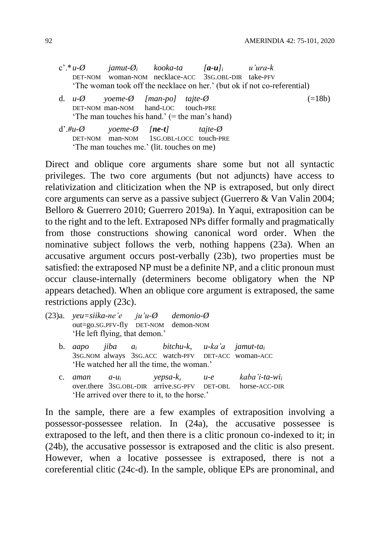- c'.\**u-Ø jamut-Ø<sup>i</sup> kooka-ta [a-u]<sup>i</sup> u'ura-k* DET-NOM woman-NOM necklace-ACC 3SG.OBL-DIR take-PFV 'The woman took off the necklace on her.' (but ok if not co-referential)
- d.  $u-\varnothing$  *yoeme-* $\varnothing$  *[man-pol tajte-* $\varnothing$  (=18b) DET-NOM man-NOM hand-LOC touch-PRE 'The man touches his hand.'  $(=$  the man's hand)
- d'.*#u-Ø yoeme-Ø [ne-t] tajte-Ø* DET-NOM man-NOM 1SG.OBL-LOCC touch-PRE 'The man touches me.' (lit. touches on me)

Direct and oblique core arguments share some but not all syntactic privileges. The two core arguments (but not adjuncts) have access to relativization and cliticization when the NP is extraposed, but only direct core arguments can serve as a passive subject (Guerrero & Van Valin 2004; Belloro & Guerrero 2010; Guerrero 2019a). In Yaqui, extraposition can be to the right and to the left. Extraposed NPs differ formally and pragmatically from those constructions showing canonical word order. When the nominative subject follows the verb, nothing happens (23a). When an accusative argument occurs post-verbally (23b), two properties must be satisfied: the extraposed NP must be a definite NP, and a clitic pronoun must occur clause-internally (determiners become obligatory when the NP appears detached). When an oblique core argument is extraposed, the same restrictions apply (23c).

- (23)a. *yeu=siika-ne'e ju'u-Ø demonio-Ø* out=go.SG.PFV-fly DET-NOM demon-NOM 'He left flying, that demon.'
	- b. *aapo jiba a<sup>i</sup> bitchu-k, u-ka'a jamut-ta<sup>i</sup>* 3SG.NOM always 3SG.ACC watch-PFV DET-ACC woman-ACC 'He watched her all the time, the woman.'
	- c. *aman a-u<sup>i</sup> yepsa-k, u-e kaba'i-ta-wi<sup>i</sup>* over.there 3SG.OBL-DIR arrive.SG-PFV DET-OBL horse-ACC-DIR 'He arrived over there to it, to the horse.'

In the sample, there are a few examples of extraposition involving a possessor-possessee relation. In (24a), the accusative possessee is extraposed to the left, and then there is a clitic pronoun co-indexed to it; in (24b), the accusative possessor is extraposed and the clitic is also present. However, when a locative possessee is extraposed, there is not a coreferential clitic (24c-d). In the sample, oblique EPs are pronominal, and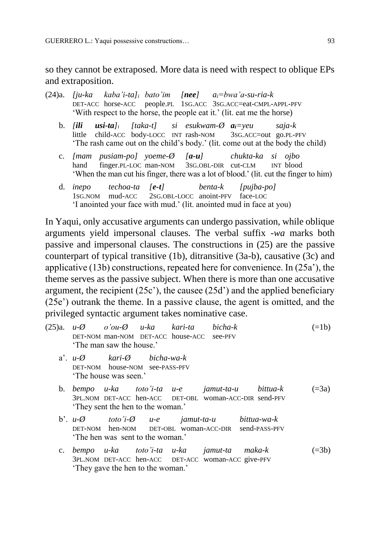so they cannot be extraposed. More data is need with respect to oblique EPs and extraposition.

- (24)a. *[ju-ka kaba'i-ta]<sup>i</sup> bato'im [nee] ai=bwa'a-su-ria-k* DET-ACC horse-ACC people.PL 1SG.ACC 3SG.ACC=eat-CMPL-APPL-PFV 'With respect to the horse, the people eat it.' (lit. eat me the horse)
	- b. *[ili usi-ta]<sup>i</sup> [taka-t] si esukwam-Ø ai=yeu saja-k* little child-ACC body-LOCC INT rash-NOM 3SG.ACC=out go.PL-PFV 'The rash came out on the child's body.' (lit. come out at the body the child)
	- c. *[mam pusiam-po] yoeme-Ø [a-u] chukta-ka si ojbo* hand finger.PL-LOC man-NOM 3SG.OBL-DIR cut-CLM INT blood 'When the man cut his finger, there was a lot of blood.' (lit. cut the finger to him)
	- d. *inepo techoa-ta [e-t] benta-k [pujba-po]* 1SG.NOM mud-ACC 2SG.OBL-LOCC anoint-PFV face-LOC 'I anointed your face with mud.' (lit. anointed mud in face at you)

In Yaqui, only accusative arguments can undergo passivation, while oblique arguments yield impersonal clauses. The verbal suffix -*wa* marks both passive and impersonal clauses. The constructions in (25) are the passive counterpart of typical transitive (1b), ditransitive (3a-b), causative (3c) and applicative (13b) constructions, repeated here for convenience. In (25a'), the theme serves as the passive subject. When there is more than one accusative argument, the recipient (25c'), the causee (25d') and the applied beneficiary (25e') outrank the theme. In a passive clause, the agent is omitted, and the privileged syntactic argument takes nominative case.

- $(25)a$ .  $u-\emptyset$  *o'ou-* $\emptyset$   $u-ka$  *kari-ta bicha-k* (=1b) DET-NOM man-NOM DET-ACC house-ACC see-PFV 'The man saw the house.' a'. *u-Ø kari-Ø bicha-wa-k* DET-NOM house-NOM see-PASS-PFV 'The house was seen.'
	- b. *bempo u-ka toto'i-ta u-e jamut-ta-u bittua-k* (=3a) 3PL.NOM DET-ACC hen-ACC DET-OBL woman-ACC-DIR send-PFV 'They sent the hen to the woman.'
	- b'. *u-Ø toto'i-Ø u-e jamut-ta-u bittua-wa-k* DET-NOM hen-NOM DET-OBL woman-ACC-DIR send-PASS-PFV 'The hen was sent to the woman.'
	- c. *bempo u-ka toto'i-ta u-ka jamut-ta maka-k* (=3b) 3PL.NOM DET-ACC hen-ACC DET-ACC woman-ACC give-PFV 'They gave the hen to the woman.'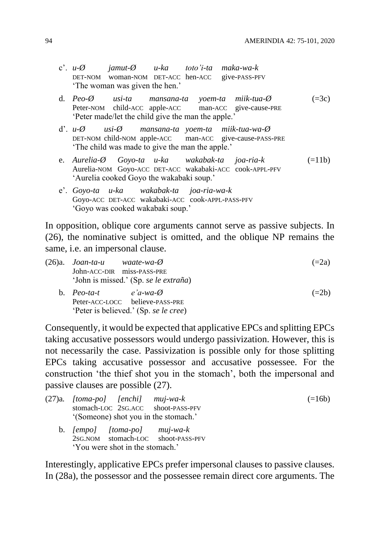- c'. *u-Ø jamut-Ø u-ka toto'i-ta maka-wa-k* DET-NOM woman-NOM DET-ACC hen-ACC give-PASS-PFV 'The woman was given the hen.'
- d. *Peo-Ø usi-ta mansana-ta yoem-ta miik-tua-Ø* (=3c) Peter-NOM child-ACC apple-ACC man-ACC give-cause-PRE 'Peter made/let the child give the man the apple.'
- d'. *u-Ø usi-Ø mansana-ta yoem-ta miik-tua-wa-Ø* DET-NOM child-NOM apple-ACC man-ACC give-cause-PASS-PRE 'The child was made to give the man the apple.'
- e. *Aurelia-Ø Goyo-ta u-ka wakabak-ta joa-ria-k* (=11b) Aurelia-NOM Goyo-ACC DET-ACC wakabaki-ACC cook-APPL-PFV 'Aurelia cooked Goyo the wakabaki soup.'
- e'. *Goyo-ta u-ka wakabak-ta joa-ria-wa-k* Goyo-ACC DET-ACC wakabaki-ACC cook-APPL-PASS-PFV 'Goyo was cooked wakabaki soup.'

In opposition, oblique core arguments cannot serve as passive subjects. In (26), the nominative subject is omitted, and the oblique NP remains the same, i.e. an impersonal clause.

| $(26)a.$ Joan-ta-u waate-wa- $\emptyset$<br>John-ACC-DIR miss-PASS-PRE |                                       | $(=2a)$ |
|------------------------------------------------------------------------|---------------------------------------|---------|
|                                                                        | 'John is missed.' (Sp. se le extraña) |         |
| b. $Peo$ -ta-t e'a-wa- $\emptyset$                                     |                                       | $(=2b)$ |
|                                                                        | Peter-ACC-LOCC believe-PASS-PRE       |         |
| 'Peter is believed.' (Sp. se le cree)                                  |                                       |         |

Consequently, it would be expected that applicative EPCs and splitting EPCs taking accusative possessors would undergo passivization. However, this is not necessarily the case. Passivization is possible only for those splitting EPCs taking accusative possessor and accusative possessee. For the construction 'the thief shot you in the stomach', both the impersonal and passive clauses are possible (27).

|  | (27)a. [toma-po] [enchi] muj-wa-k<br>'(Someone) shot you in the stomach.' | stomach-LOC 2sG.ACC shoot-PASS-PFV | $(=16b)$ |
|--|---------------------------------------------------------------------------|------------------------------------|----------|
|  | b. $[empo]$ $[toma-po]$ $muj-wa-k$<br>'You were shot in the stomach.'     | 2SG.NOM stomach-LOC shoot-PASS-PFV |          |

Interestingly, applicative EPCs prefer impersonal clauses to passive clauses. In (28a), the possessor and the possessee remain direct core arguments. The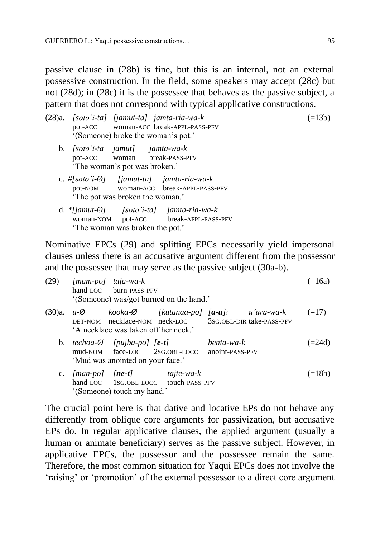passive clause in (28b) is fine, but this is an internal, not an external possessive construction. In the field, some speakers may accept (28c) but not (28d); in (28c) it is the possessee that behaves as the passive subject, a pattern that does not correspond with typical applicative constructions.

| $(28)a.$ [soto'i-ta] [jamut-ta] jamta-ria-wa-k<br>pot-ACC woman-ACC break-APPL-PASS-PFV<br>'(Someone) broke the woman's pot.'    | $(=13b)$ |
|----------------------------------------------------------------------------------------------------------------------------------|----------|
| b. $[so to 'i-ta jamut]$ $jamta-wa-k$<br>pot-ACC woman break-PASS-PFV<br>'The woman's pot was broken.'                           |          |
| c. #[soto'i- $\emptyset$ ] [jamut-ta] jamta-ria-wa-k<br>pot-NOM woman-ACC break-APPL-PASS-PFV<br>'The pot was broken the woman.' |          |
| d. *[jamut- $\emptyset$ ] [soto'i-ta] jamta-ria-wa-k<br>woman-NOM pot-ACC break-APPL-PASS-PFV<br>'The woman was broken the pot.' |          |

Nominative EPCs (29) and splitting EPCs necessarily yield impersonal clauses unless there is an accusative argument different from the possessor and the possessee that may serve as the passive subject (30a-b).

| (29)   |                        | $[mam-po]$ taja-wa-k<br>hand-LOC burn-PASS-PFV                                                               | '(Someone) was/got burned on the hand.'            |                               |                                                                                          | $(=16a)$ |
|--------|------------------------|--------------------------------------------------------------------------------------------------------------|----------------------------------------------------|-------------------------------|------------------------------------------------------------------------------------------|----------|
| (30)a. | $u - Q$                | 'A necklace was taken off her neck.'                                                                         | DET-NOM necklace-NOM neck-LOC                      |                               | kooka-Ø [kutanaa-po] [ <b>a-u</b> ] <sub>i</sub> u'ura-wa-k<br>3SG.OBL-DIR take-PASS-PFV | $(=17)$  |
|        |                        | b. techoa- $\emptyset$ [pujba-po] [e-t]<br>mud-NOM face-LOC 2SG.OBL-LOCC<br>'Mud was anointed on your face.' |                                                    | benta-wa-k<br>anoint-PASS-PFV |                                                                                          | $(=24d)$ |
|        | c. $[man-po]$ $[ne-t]$ | '(Someone) touch my hand.'                                                                                   | tajte-wa-k<br>hand-LOC 1SG.OBL-LOCC touch-PASS-PFV |                               |                                                                                          | $(=18b)$ |

The crucial point here is that dative and locative EPs do not behave any differently from oblique core arguments for passivization, but accusative EPs do. In regular applicative clauses, the applied argument (usually a human or animate beneficiary) serves as the passive subject. However, in applicative EPCs, the possessor and the possessee remain the same. Therefore, the most common situation for Yaqui EPCs does not involve the 'raising' or 'promotion' of the external possessor to a direct core argument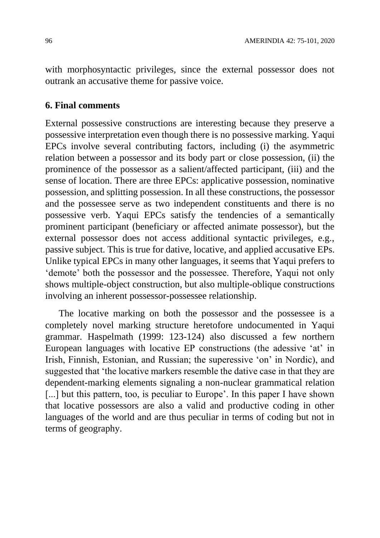with morphosyntactic privileges, since the external possessor does not outrank an accusative theme for passive voice.

#### **6. Final comments**

External possessive constructions are interesting because they preserve a possessive interpretation even though there is no possessive marking. Yaqui EPCs involve several contributing factors, including (i) the asymmetric relation between a possessor and its body part or close possession, (ii) the prominence of the possessor as a salient/affected participant, (iii) and the sense of location. There are three EPCs: applicative possession, nominative possession, and splitting possession. In all these constructions, the possessor and the possessee serve as two independent constituents and there is no possessive verb. Yaqui EPCs satisfy the tendencies of a semantically prominent participant (beneficiary or affected animate possessor), but the external possessor does not access additional syntactic privileges, e.g., passive subject. This is true for dative, locative, and applied accusative EPs. Unlike typical EPCs in many other languages, it seems that Yaqui prefers to 'demote' both the possessor and the possessee. Therefore, Yaqui not only shows multiple-object construction, but also multiple-oblique constructions involving an inherent possessor-possessee relationship.

The locative marking on both the possessor and the possessee is a completely novel marking structure heretofore undocumented in Yaqui grammar. Haspelmath (1999: 123-124) also discussed a few northern European languages with locative EP constructions (the adessive 'at' in Irish, Finnish, Estonian, and Russian; the superessive 'on' in Nordic), and suggested that 'the locative markers resemble the dative case in that they are dependent-marking elements signaling a non-nuclear grammatical relation [...] but this pattern, too, is peculiar to Europe'. In this paper I have shown that locative possessors are also a valid and productive coding in other languages of the world and are thus peculiar in terms of coding but not in terms of geography.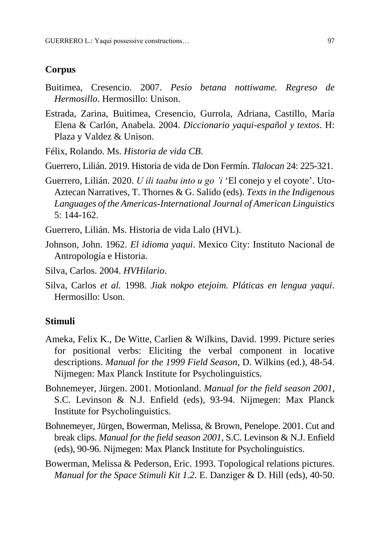### **Corpus**

- Buitimea, Cresencio. 2007. *Pesio betana nottiwame. Regreso de Hermosillo*. Hermosillo: Unison.
- Estrada, Zarina, Buitimea, Cresencio, Gurrola, Adriana, Castillo, María Elena & Carlón, Anabela*.* 2004. *Diccionario yaqui-español y textos*. H: Plaza y Valdez & Unison.
- Félix, Rolando. Ms. *Historia de vida CB*.
- Guerrero, Lilián. 2019. Historia de vida de Don Fermín. *Tlalocan* 24: 225-321.
- Guerrero, Lilián. 2020. *U ili taabu into u go 'i* 'El conejo y el coyote'. Uto-Aztecan Narratives, T. Thornes & G. Salido (eds). *Texts in the Indigenous Languages of the Americas-International Journal of American Linguistics* 5: 144-162.
- Guerrero, Lilián. Ms. Historia de vida Lalo (HVL).
- Johnson, John. 1962. *El idioma yaqui*. Mexico City: Instituto Nacional de Antropología e Historia.
- Silva, Carlos. 2004. *HVHilario*.
- Silva, Carlos *et al.* 1998. *Jiak nokpo etejoim. Pláticas en lengua yaqui*. Hermosillo: Uson.

### **Stimuli**

- Ameka, Felix K., De Witte, Carlien & Wilkins, David. 1999. Picture series for positional verbs: Eliciting the verbal component in locative descriptions. *Manual for the 1999 Field Season*, D. Wilkins (ed.), 48-54. Nijmegen: Max Planck Institute for Psycholinguistics.
- Bohnemeyer, Jürgen. 2001. Motionland. *Manual for the field season 2001*, S.C. Levinson & N.J. Enfield (eds), 93-94. Nijmegen: Max Planck Institute for Psycholinguistics.
- Bohnemeyer, Jürgen, Bowerman, Melissa, & Brown, Penelope. 2001. Cut and break clips. *Manual for the field season 2001*, S.C. Levinson & N.J. Enfield (eds), 90-96. Nijmegen: Max Planck Institute for Psycholinguistics.
- Bowerman, Melissa & Pederson, Eric. 1993. Topological relations pictures. *Manual for the Space Stimuli Kit 1.2*. E. Danziger & D. Hill (eds), 40-50.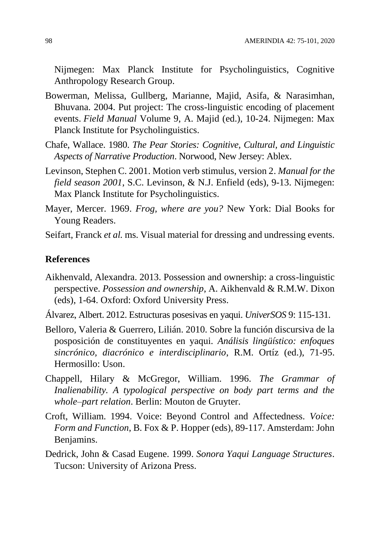Nijmegen: Max Planck Institute for Psycholinguistics, Cognitive Anthropology Research Group.

- Bowerman, Melissa, Gullberg, Marianne, Majid, Asifa, & Narasimhan, Bhuvana. 2004. Put project: The cross-linguistic encoding of placement events. *Field Manual* Volume 9, A. Majid (ed.), 10-24. Nijmegen: Max Planck Institute for Psycholinguistics.
- Chafe, Wallace. 1980. *The Pear Stories: Cognitive, Cultural, and Linguistic Aspects of Narrative Production*. Norwood, New Jersey: Ablex.
- Levinson, Stephen C. 2001. Motion verb stimulus, version 2. *Manual for the field season 2001*, S.C. Levinson, & N.J. Enfield (eds), 9-13. Nijmegen: Max Planck Institute for Psycholinguistics.
- Mayer, Mercer. 1969. *Frog, where are you?* New York: Dial Books for Young Readers.
- Seifart, Franck *et al.* ms. Visual material for dressing and undressing events.

#### **References**

- Aikhenvald, Alexandra. 2013. Possession and ownership: a cross-linguistic perspective. *Possession and ownership*, A. Aikhenvald & R.M.W. Dixon (eds), 1-64. Oxford: Oxford University Press.
- Álvarez, Albert. 2012. Estructuras posesivas en yaqui. *UniverSOS* 9: 115-131.
- Belloro, Valeria & Guerrero, Lilián. 2010. Sobre la función discursiva de la posposición de constituyentes en yaqui. *Análisis lingüístico: enfoques sincrónico, diacrónico e interdisciplinario*, R.M. Ortíz (ed.), 71-95. Hermosillo: Uson.
- Chappell, Hilary & McGregor, William. 1996. *The Grammar of Inalienability. A typological perspective on body part terms and the whole–part relation*. Berlin: Mouton de Gruyter.
- Croft, William. 1994. Voice: Beyond Control and Affectedness. *Voice: Form and Function*, B. Fox & P. Hopper (eds), 89-117. Amsterdam: John Benjamins.
- Dedrick, John & Casad Eugene. 1999. *Sonora Yaqui Language Structures*. Tucson: University of Arizona Press.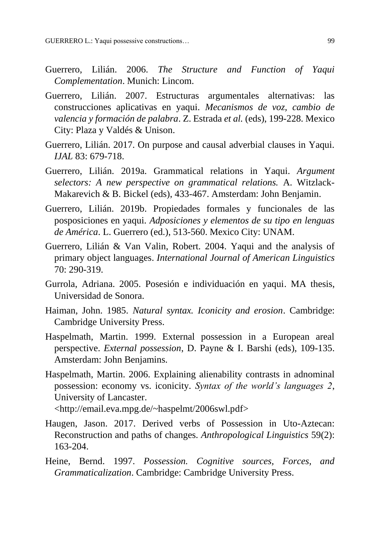- Guerrero, Lilián. 2006. *The Structure and Function of Yaqui Complementation*. Munich: Lincom.
- Guerrero, Lilián. 2007. Estructuras argumentales alternativas: las construcciones aplicativas en yaqui. *Mecanismos de voz, cambio de valencia y formación de palabra*. Z. Estrada *et al.* (eds), 199-228. Mexico City: Plaza y Valdés & Unison.
- Guerrero, Lilián. 2017. On purpose and causal adverbial clauses in Yaqui. *IJAL* 83: 679-718.
- Guerrero, Lilián. 2019a. Grammatical relations in Yaqui. *Argument selectors: A new perspective on grammatical relations.* A. Witzlack-Makarevich & B. Bickel (eds), 433-467. Amsterdam: John Benjamin.
- Guerrero, Lilián. 2019b. Propiedades formales y funcionales de las posposiciones en yaqui. *Adposiciones y elementos de su tipo en lenguas de América*. L. Guerrero (ed.), 513-560. Mexico City: UNAM.
- Guerrero, Lilián & Van Valin, Robert. 2004. Yaqui and the analysis of primary object languages. *International Journal of American Linguistics* 70: 290-319.
- Gurrola, Adriana. 2005. Posesión e individuación en yaqui. MA thesis, Universidad de Sonora.
- Haiman, John. 1985. *Natural syntax. Iconicity and erosion*. Cambridge: Cambridge University Press.
- Haspelmath, Martin. 1999. External possession in a European areal perspective. *External possession*, D. Payne & I. Barshi (eds), 109-135. Amsterdam: John Benjamins.
- Haspelmath, Martin. 2006. Explaining alienability contrasts in adnominal possession: economy vs. iconicity. *Syntax of the world's languages 2*, University of Lancaster.

<http://email.eva.mpg.de/~haspelmt/2006swl.pdf>

- Haugen, Jason. 2017. Derived verbs of Possession in Uto-Aztecan: Reconstruction and paths of changes. *Anthropological Linguistics* 59(2): 163-204.
- Heine, Bernd. 1997. *Possession. Cognitive sources, Forces, and Grammaticalization*. Cambridge: Cambridge University Press.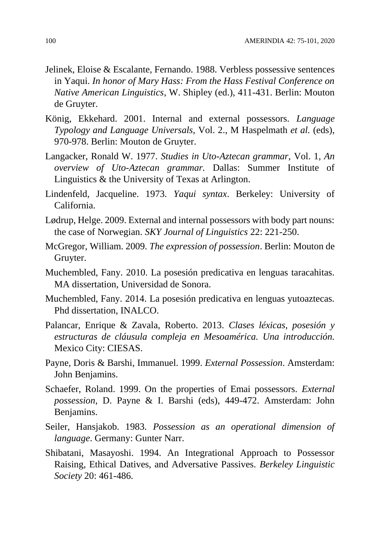- Jelinek, Eloise & Escalante, Fernando. 1988. Verbless possessive sentences in Yaqui. *In honor of Mary Hass: From the Hass Festival Conference on Native American Linguistics*, W. Shipley (ed.), 411-431. Berlin: Mouton de Gruyter.
- König, Ekkehard. 2001. Internal and external possessors. *Language Typology and Language Universals,* Vol. 2., M Haspelmath *et al.* (eds), 970-978. Berlin: Mouton de Gruyter.
- Langacker, Ronald W. 1977. *Studies in Uto-Aztecan grammar,* Vol. 1*, An overview of Uto-Aztecan grammar.* Dallas: Summer Institute of Linguistics & the University of Texas at Arlington.
- Lindenfeld, Jacqueline. 1973. *Yaqui syntax*. Berkeley: University of California.
- Lødrup, Helge. 2009. External and internal possessors with body part nouns: the case of Norwegian. *SKY Journal of Linguistics* 22: 221-250.
- McGregor, William. 2009. *The expression of possession*. Berlin: Mouton de Gruyter.
- Muchembled, Fany. 2010. La posesión predicativa en lenguas taracahitas. MA dissertation, Universidad de Sonora.
- Muchembled, Fany. 2014. La posesión predicativa en lenguas yutoaztecas. Phd dissertation, INALCO.
- Palancar, Enrique & Zavala, Roberto. 2013. *Clases léxicas, posesión y estructuras de cláusula compleja en Mesoamérica. Una introducción.*  Mexico City: CIESAS.
- Payne, Doris & Barshi, Immanuel. 1999. *External Possession*. Amsterdam: John Benjamins.
- Schaefer, Roland. 1999. On the properties of Emai possessors. *External possession*, D. Payne & I. Barshi (eds), 449-472. Amsterdam: John Benjamins.
- Seiler, Hansjakob. 1983*. Possession as an operational dimension of language*. Germany: Gunter Narr.
- Shibatani, Masayoshi. 1994. An Integrational Approach to Possessor Raising, Ethical Datives, and Adversative Passives. *Berkeley Linguistic Society* 20: 461-486.